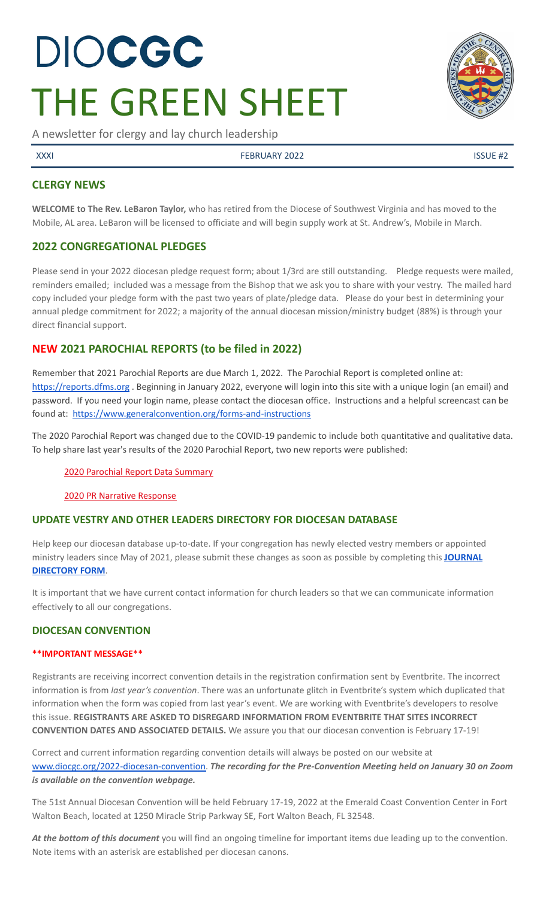# DIOCGC THE GREEN SHEET

A newsletter for clergy and lay church leadership

XXXI FEBRUARY 2022 ISSUE #2

# **CLERGY NEWS**

**WELCOME to The Rev. LeBaron Taylor,** who has retired from the Diocese of Southwest Virginia and has moved to the Mobile, AL area. LeBaron will be licensed to officiate and will begin supply work at St. Andrew's, Mobile in March.

# **2022 CONGREGATIONAL PLEDGES**

Please send in your 2022 diocesan pledge request form; about 1/3rd are still outstanding. Pledge requests were mailed, reminders emailed; included was a message from the Bishop that we ask you to share with your vestry. The mailed hard copy included your pledge form with the past two years of plate/pledge data. Please do your best in determining your annual pledge commitment for 2022; a majority of the annual diocesan mission/ministry budget (88%) is through your direct financial support.

# **NEW 2021 PAROCHIAL REPORTS (to be filed in 2022)**

Remember that 2021 Parochial Reports are due March 1, 2022. The Parochial Report is completed online at: <https://reports.dfms.org> . Beginning in January 2022, everyone will login into this site with a unique login (an email) and password. If you need your login name, please contact the diocesan office. Instructions and a helpful screencast can be found at: <https://www.generalconvention.org/forms-and-instructions>

The 2020 Parochial Report was changed due to the COVID-19 pandemic to include both quantitative and qualitative data. To help share last year's results of the 2020 Parochial Report, two new reports were published:

2020 Parochial Report Data [Summary](https://www.generalconvention.org/2020-parochial-data)

2020 PR Narrative [Response](https://www.generalconvention.org/2020-narrative-data)

# **UPDATE VESTRY AND OTHER LEADERS DIRECTORY FOR DIOCESAN DATABASE**

Help keep our diocesan database up-to-date. If your congregation has newly elected vestry members or appointed ministry leaders since May of 2021, please submit these changes as soon as possible by completing this **[JOURNAL](https://www.emailmeform.com/builder/form/eji270wUd6T49) [DIRECTORY](https://www.emailmeform.com/builder/form/eji270wUd6T49) FORM**.

It is important that we have current contact information for church leaders so that we can communicate information effectively to all our congregations.

# **DIOCESAN CONVENTION**

#### **\*\*IMPORTANT MESSAGE\*\***

Registrants are receiving incorrect convention details in the registration confirmation sent by Eventbrite. The incorrect information is from *last year's convention*. There was an unfortunate glitch in Eventbrite's system which duplicated that information when the form was copied from last year's event. We are working with Eventbrite's developers to resolve this issue. **REGISTRANTS ARE ASKED TO DISREGARD INFORMATION FROM EVENTBRITE THAT SITES INCORRECT CONVENTION DATES AND ASSOCIATED DETAILS.** We assure you that our diocesan convention is February 17-19!

Correct and current information regarding convention details will always be posted on our website at [www.diocgc.org/2022-diocesan-convention.](http://www.diocgc.org/2022-diocesan-convention) *The recording for the Pre-Convention Meeting held on January 30 on Zoom is available on the convention webpage.*

The 51st Annual Diocesan Convention will be held February 17-19, 2022 at the Emerald Coast Convention Center in Fort Walton Beach, located at 1250 Miracle Strip Parkway SE, Fort Walton Beach, FL 32548.

*At the bottom of this document* you will find an ongoing timeline for important items due leading up to the convention. Note items with an asterisk are established per diocesan canons.

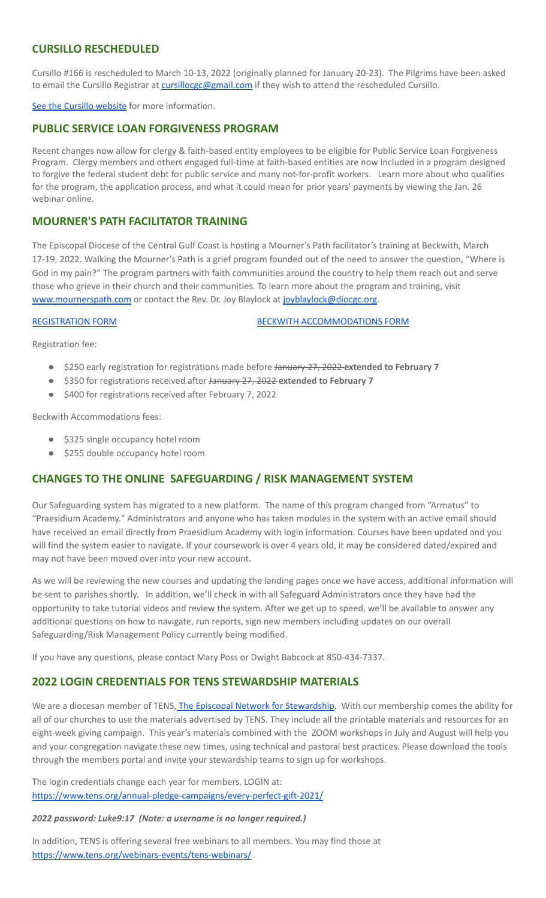# **CURSILLO RESCHEDULED**

Cursillo #166 is rescheduled to March 10-13, 2022 (originally planned for January 20-23). The Pilgrims have been asked to email the Cursillo Registrar at [cursillocgc@gmail.com](mailto:cursillocgc@gmail.com) if they wish to attend the rescheduled Cursillo.

See the Cursillo [website](https://www.coastalpilgrims.com/) for more information.

### **PUBLIC SERVICE LOAN FORGIVENESS PROGRAM**

Recent changes now allow for clergy & faith-based entity employees to be eligible for Public Service Loan Forgiveness Program. Clergy members and others engaged full-time at faith-based entities are now included in a program designed to forgive the federal student debt for public service and many not-for-profit workers. Learn more about who qualifies for the program, the application process, and what it could mean for prior years' payments by viewing the Jan. 26 webinar online.

### **MOURNER'S PATH FACILITATOR TRAINING**

The Episcopal Diocese of the Central Gulf Coast is hosting a Mourner's Path facilitator's training at Beckwith, March 17-19, 2022. Walking the Mourner's Path is a grief program founded out of the need to answer the question, "Where is God in my pain?" The program partners with faith communities around the country to help them reach out and serve those who grieve in their church and their communities. To learn more about the program and training, visit [www.mournerspath.com](http://www.mournerspath.com) or contact the Rev. Dr. Joy Blaylock at [joyblaylock@diocgc.org.](mailto:joyblaylock@diocgc.org)

[REGISTRATION](https://drive.google.com/file/d/1Dt48JlePEscAYYoSU4L_Ks6QRdMZcK_M/view?usp=sharing) FORM BECKWITH [ACCOMMODATIONS](https://events.r20.constantcontact.com/register/eventReg?oeidk=a07eiszh7o61fcdcbbc&oseq=&c=&ch=) FORM

Registration fee:

- \$250 early registration for registrations made before January 27, 2022 **extended to February 7**
- \$350 for registrations received after January 27, 2022 **extended to February 7**
- \$400 for registrations received after February 7, 2022

Beckwith Accommodations fees:

- \$325 single occupancy hotel room
- \$255 double occupancy hotel room

# **CHANGES TO THE ONLINE SAFEGUARDING / RISK MANAGEMENT SYSTEM**

Our Safeguarding system has migrated to a new platform. The name of this program changed from "Armatus" to "Praesidium Academy." Administrators and anyone who has taken modules in the system with an active email should have received an email directly from Praesidium Academy with login information. Courses have been updated and you will find the system easier to navigate. If your coursework is over 4 years old, it may be considered dated/expired and may not have been moved over into your new account.

As we will be reviewing the new courses and updating the landing pages once we have access, additional information will be sent to parishes shortly. In addition, we'll check in with all Safeguard Administrators once they have had the opportunity to take tutorial videos and review the system. After we get up to speed, we'll be available to answer any additional questions on how to navigate, run reports, sign new members including updates on our overall Safeguarding/Risk Management Policy currently being modified.

If you have any questions, please contact Mary Poss or Dwight Babcock at 850-434-7337.

# **2022 LOGIN CREDENTIALS FOR TENS STEWARDSHIP MATERIALS**

We are a diocesan member of TENS, The Episcopal Network for [Stewardship.](https://www.tens.org/) With our membership comes the ability for all of our churches to use the materials advertised by TENS. They include all the printable materials and resources for an eight-week giving campaign. This year's materials combined with the ZOOM workshops in July and August will help you and your congregation navigate these new times, using technical and pastoral best practices. Please download the tools through the members portal and invite your stewardship teams to sign up for workshops.

The login credentials change each year for members. LOGIN at: <https://www.tens.org/annual-pledge-campaigns/every-perfect-gift-2021/>

#### *2022 password: Luke9:17 (Note: a username is no longer required.)*

In addition, TENS is offering several free webinars to all members. You may find those at <https://www.tens.org/webinars-events/tens-webinars/>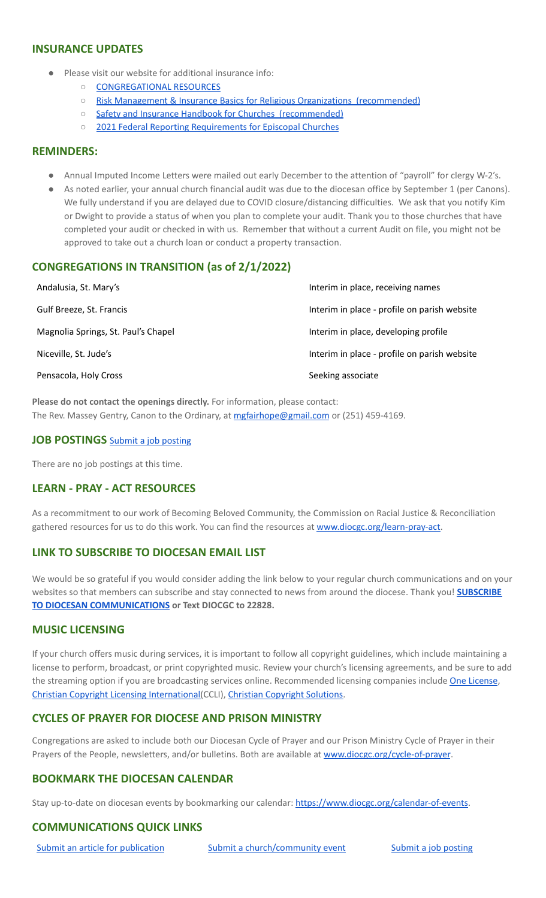#### **INSURANCE UPDATES**

- Please visit our website for additional insurance info:
	- [CONGREGATIONAL](https://www.diocgc.org/congregational-resources) RESOURCES
	- Risk Management & Insurance Basics for Religious Organizations [\(recommended\)](https://2f23db9c-81c0-437f-88c1-0d3b99fdb03d.filesusr.com/ugd/ca270f_0fc945a39bad470191c4075c97602c08.pdf)
	- Safety and Insurance Handbook for Churches [\(recommended\)](https://2f23db9c-81c0-437f-88c1-0d3b99fdb03d.filesusr.com/ugd/4525a9_6b89020a60b040f49e2f7feb44b56873.pdf)
	- 2021 Federal Reporting [Requirements](https://www.cpg.org/globalassets/documents/publications/tax-2021-federal-reporting-requirements-for-episcopal-churches.pdf) for Episcopal Churches

#### **REMINDERS:**

- Annual Imputed Income Letters were mailed out early December to the attention of "payroll" for clergy W-2's.
- As noted earlier, your annual church financial audit was due to the diocesan office by September 1 (per Canons). We fully understand if you are delayed due to COVID closure/distancing difficulties. We ask that you notify Kim or Dwight to provide a status of when you plan to complete your audit. Thank you to those churches that have completed your audit or checked in with us. Remember that without a current Audit on file, you might not be approved to take out a church loan or conduct a property transaction.

# **CONGREGATIONS IN TRANSITION (as of 2/1/2022)**

| Andalusia, St. Mary's               | Interim in place, receiving names            |
|-------------------------------------|----------------------------------------------|
| Gulf Breeze, St. Francis            | Interim in place - profile on parish website |
| Magnolia Springs, St. Paul's Chapel | Interim in place, developing profile         |
| Niceville, St. Jude's               | Interim in place - profile on parish website |
| Pensacola, Holy Cross               | Seeking associate                            |

**Please do not contact the openings directly.** For information, please contact: The Rev. Massey Gentry, Canon to the Ordinary, at [mgfairhope@gmail.com](mailto:mgfairhope@gmail.com) or (251) 459-4169.

#### **JOB POSTINGS** Submit a job [posting](https://www.emailmeform.com/builder/form/0cZqC653GdH24p01aWQDfUh)

There are no job postings at this time.

#### **LEARN - PRAY - ACT RESOURCES**

As a recommitment to our work of Becoming Beloved Community, the Commission on Racial Justice & Reconciliation gathered resources for us to do this work. You can find the resources at [www.diocgc.org/learn-pray-act.](http://www.diocgcorg/learn-pray-act)

# **LINK TO SUBSCRIBE TO DIOCESAN EMAIL LIST**

We would be so grateful if you would consider adding the link below to your regular church communications and on your websites so that members can subscribe and stay connected to news from around the diocese. Thank you! **[SUBSCRIBE](https://visitor.r20.constantcontact.com/manage/optin?v=001ytzJgXCdPi7CMeRPYjkgWfph8ra8dQJmJ_jgoEJDuFPyjC3HarXiwlhH4JN80K9kNItCddcGgXt-VrglBC4Vvq3YhpG1ym5vnWRlozzk8WJwXJycFplGhx-zzZ96rxkiXY6YLv6vWkWPagBVarHUDKt3SmSUagqj) TO DIOCESAN [COMMUNICATIONS](https://visitor.r20.constantcontact.com/manage/optin?v=001ytzJgXCdPi7CMeRPYjkgWfph8ra8dQJmJ_jgoEJDuFPyjC3HarXiwlhH4JN80K9kNItCddcGgXt-VrglBC4Vvq3YhpG1ym5vnWRlozzk8WJwXJycFplGhx-zzZ96rxkiXY6YLv6vWkWPagBVarHUDKt3SmSUagqj) or Text DIOCGC to 22828.**

#### **MUSIC LICENSING**

If your church offers music during services, it is important to follow all copyright guidelines, which include maintaining a license to perform, broadcast, or print copyrighted music. Review your church's licensing agreements, and be sure to add the streaming option if you are broadcasting services online. Recommended licensing companies include One [License](https://onelicense.net/), Christian Copyright Licensing [International\(](https://us.ccli.com/)CCLI), Christian [Copyright](https://christiancopyrightsolutions.com/) Solutions.

# **CYCLES OF PRAYER FOR DIOCESE AND PRISON MINISTRY**

Congregations are asked to include both our Diocesan Cycle of Prayer and our Prison Ministry Cycle of Prayer in their Prayers of the People, newsletters, and/or bulletins. Both are available at [www.diocgc.org/cycle-of-prayer](http://www.diocgc.org/cycle-of-prayer).

# **BOOKMARK THE DIOCESAN CALENDAR**

Stay up-to-date on diocesan events by bookmarking our calendar: [https://www.diocgc.org/calendar-of-events.](https://www.diocgc.org/calendar-of-events)

# **COMMUNICATIONS QUICK LINKS**

Submit an article for [publication](http://www.emailmeform.com/builder/form/XqOP984Ae60c8m6ynr) Submit a [church/community](http://www.emailmeform.com/builder/form/eOM4Bb6VTb78y20Wrapf8) event Submit a job [posting](https://www.emailmeform.com/builder/form/0cZqC653GdH24p01aWQDfUh)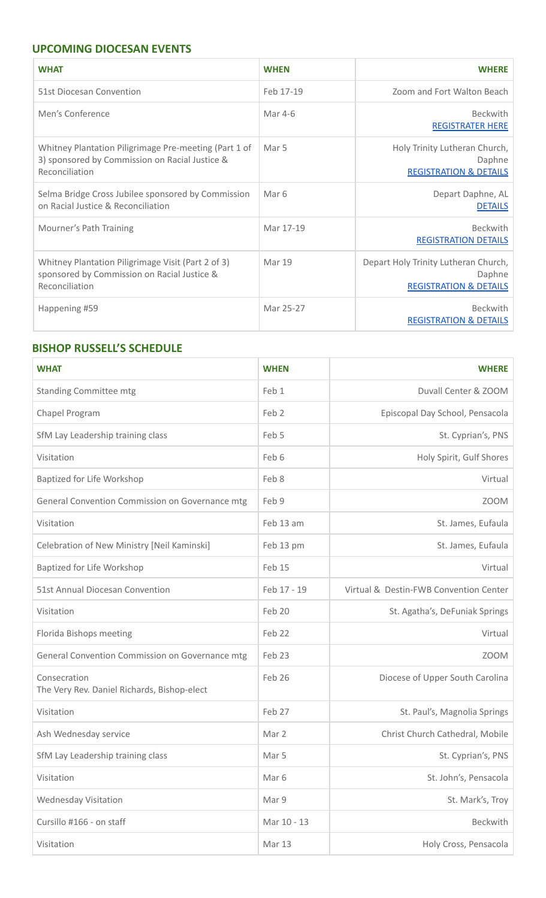# **UPCOMING DIOCESAN EVENTS**

| <b>WHAT</b>                                                                                                               | <b>WHEN</b> | <b>WHERE</b>                                                                        |
|---------------------------------------------------------------------------------------------------------------------------|-------------|-------------------------------------------------------------------------------------|
| 51st Diocesan Convention                                                                                                  | Feb 17-19   | Zoom and Fort Walton Beach                                                          |
| Men's Conference                                                                                                          | Mar 4-6     | <b>Beckwith</b><br><b>REGISTRATER HERE</b>                                          |
| Whitney Plantation Piligrimage Pre-meeting (Part 1 of<br>3) sponsored by Commission on Racial Justice &<br>Reconciliation | Mar 5       | Holy Trinity Lutheran Church,<br>Daphne<br><b>REGISTRATION &amp; DETAILS</b>        |
| Selma Bridge Cross Jubilee sponsored by Commission<br>on Racial Justice & Reconciliation                                  | Mar 6       | Depart Daphne, AL<br><b>DETAILS</b>                                                 |
| Mourner's Path Training                                                                                                   | Mar 17-19   | <b>Beckwith</b><br><b>REGISTRATION DETAILS</b>                                      |
| Whitney Plantation Piligrimage Visit (Part 2 of 3)<br>sponsored by Commission on Racial Justice &<br>Reconciliation       | Mar 19      | Depart Holy Trinity Lutheran Church,<br>Daphne<br><b>REGISTRATION &amp; DETAILS</b> |
| Happening #59                                                                                                             | Mar 25-27   | <b>Beckwith</b><br><b>REGISTRATION &amp; DETAILS</b>                                |

# **BISHOP RUSSELL'S SCHEDULE**

| <b>WHAT</b>                                                 | <b>WHEN</b>      | <b>WHERE</b>                           |
|-------------------------------------------------------------|------------------|----------------------------------------|
| <b>Standing Committee mtg</b>                               | Feb 1            | Duvall Center & ZOOM                   |
| Chapel Program                                              | Feb <sub>2</sub> | Episcopal Day School, Pensacola        |
| SfM Lay Leadership training class                           | Feb 5            | St. Cyprian's, PNS                     |
| Visitation                                                  | Feb 6            | Holy Spirit, Gulf Shores               |
| Baptized for Life Workshop                                  | Feb 8            | Virtual                                |
| General Convention Commission on Governance mtg             | Feb 9            | <b>ZOOM</b>                            |
| Visitation                                                  | Feb 13 am        | St. James, Eufaula                     |
| Celebration of New Ministry [Neil Kaminski]                 | Feb 13 pm        | St. James, Eufaula                     |
| Baptized for Life Workshop                                  | Feb 15           | Virtual                                |
| 51st Annual Diocesan Convention                             | Feb 17 - 19      | Virtual & Destin-FWB Convention Center |
| Visitation                                                  | Feb 20           | St. Agatha's, DeFuniak Springs         |
| Florida Bishops meeting                                     | Feb 22           | Virtual                                |
| General Convention Commission on Governance mtg             | Feb 23           | <b>ZOOM</b>                            |
| Consecration<br>The Very Rev. Daniel Richards, Bishop-elect | Feb 26           | Diocese of Upper South Carolina        |
| Visitation                                                  | Feb 27           | St. Paul's, Magnolia Springs           |
| Ash Wednesday service                                       | Mar 2            | Christ Church Cathedral, Mobile        |
| SfM Lay Leadership training class                           | Mar 5            | St. Cyprian's, PNS                     |
| Visitation                                                  | Mar 6            | St. John's, Pensacola                  |
| <b>Wednesday Visitation</b>                                 | Mar 9            | St. Mark's, Troy                       |
| Cursillo #166 - on staff                                    | Mar 10 - 13      | Beckwith                               |
| Visitation                                                  | Mar 13           | Holy Cross, Pensacola                  |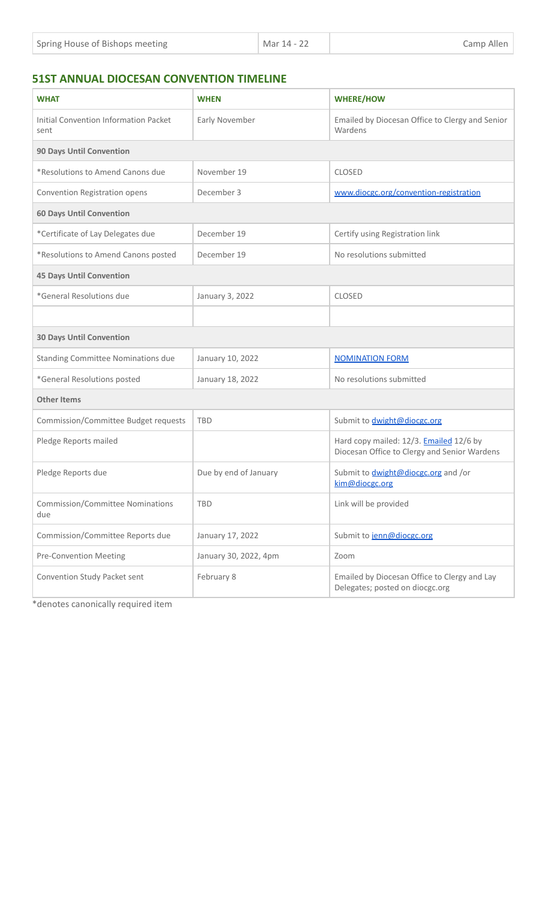| Spring House of Bishops meeting | Mar 14 - 22 | Camp Allen |
|---------------------------------|-------------|------------|
|---------------------------------|-------------|------------|

# **51ST ANNUAL DIOCESAN CONVENTION TIMELINE**

| <b>WHAT</b>                                    | <b>WHEN</b>           | <b>WHERE/HOW</b>                                                                               |  |
|------------------------------------------------|-----------------------|------------------------------------------------------------------------------------------------|--|
| Initial Convention Information Packet<br>sent  | Early November        | Emailed by Diocesan Office to Clergy and Senior<br>Wardens                                     |  |
| <b>90 Days Until Convention</b>                |                       |                                                                                                |  |
| *Resolutions to Amend Canons due               | November 19           | <b>CLOSED</b>                                                                                  |  |
| Convention Registration opens                  | December 3            | www.diocgc.org/convention-registration                                                         |  |
| <b>60 Days Until Convention</b>                |                       |                                                                                                |  |
| *Certificate of Lay Delegates due              | December 19           | Certify using Registration link                                                                |  |
| *Resolutions to Amend Canons posted            | December 19           | No resolutions submitted                                                                       |  |
| <b>45 Days Until Convention</b>                |                       |                                                                                                |  |
| *General Resolutions due                       | January 3, 2022       | <b>CLOSED</b>                                                                                  |  |
|                                                |                       |                                                                                                |  |
| <b>30 Days Until Convention</b>                |                       |                                                                                                |  |
| <b>Standing Committee Nominations due</b>      | January 10, 2022      | <b>NOMINATION FORM</b>                                                                         |  |
| *General Resolutions posted                    | January 18, 2022      | No resolutions submitted                                                                       |  |
| <b>Other Items</b>                             |                       |                                                                                                |  |
| Commission/Committee Budget requests           | <b>TBD</b>            | Submit to <i>dwight@diocgc.org</i>                                                             |  |
| Pledge Reports mailed                          |                       | Hard copy mailed: 12/3. <b>Emailed</b> 12/6 by<br>Diocesan Office to Clergy and Senior Wardens |  |
| Pledge Reports due                             | Due by end of January | Submit to <i>dwight@diocgc.org</i> and /or<br>kim@diocgc.org                                   |  |
| <b>Commission/Committee Nominations</b><br>due | <b>TBD</b>            | Link will be provided                                                                          |  |
| Commission/Committee Reports due               | January 17, 2022      | Submit to jenn@diocgc.org                                                                      |  |
| <b>Pre-Convention Meeting</b>                  | January 30, 2022, 4pm | Zoom                                                                                           |  |
| Convention Study Packet sent                   | February 8            | Emailed by Diocesan Office to Clergy and Lay<br>Delegates; posted on diocgc.org                |  |

\*denotes canonically required item